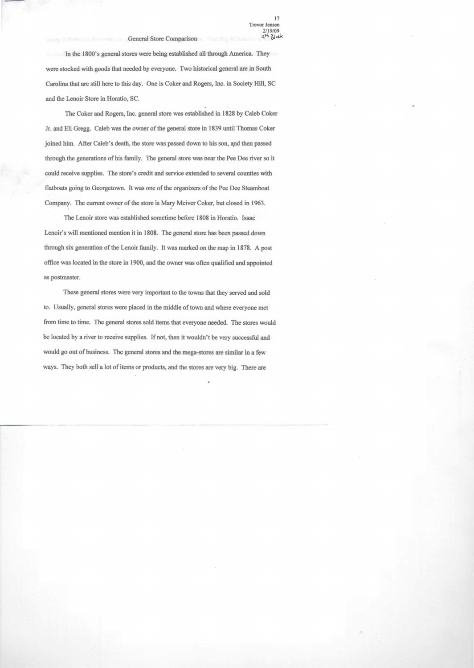In the 1800's general stores were being established all through America. They were stocked with goods that needed hy everyone. Two historical general are in South Carolina that are still here to this day. One is Coker and Rogers, Inc. in Society Hill, SC and the Lenoir Store in Horatio, SC.

The Coker and Rogers, Inc. general store was established in 1828 by Caleb Coker Jr. and Eli Gregg. Caleb was the owner of the general store in 1839 until Thomas Coker joined him. After Caleb's death, the store was passed down to his son, apd then passed through the generations of his family. The general store was near the Pee Dee river so it could receive supplies. The store's credit and service extended to several counties with flatboats going to Georgetown. It was one of the organizers of the Pee Dee Steamboat Company. The current owner of the store is Mary Mciver Coker, but closed in 1963.

The Lenoir store was established sometime before 1808 in Horatio. Isaac Lenoir's will mentioned mention it in 1808. The general store has been passed down through six generation of the Lenoir family. It was marked on the map in 1878. A post office was located in the store in 1900, and the owner was often qualified and appointed as postmaster.

These general stores were very important to the towns that they served and sold to. Usually, general stores were placed in the middle of town and where everyone met from time to time. The general stores sold items that everyone needed. The stores would be located by a river to receive supplies. If not, then it wouldn't be very successful and would go out of business. The general stores and the mega-stores are similar in a few ways. They both sell a lot of items or products, and the stores are very big. There are

ł